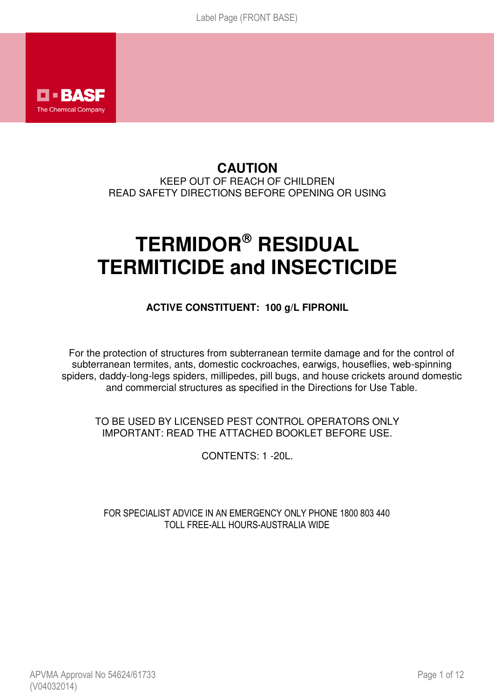

# **CAUTION**  KEEP OUT OF REACH OF CHILDREN READ SAFETY DIRECTIONS BEFORE OPENING OR USING

# **TERMIDOR RESIDUAL TERMITICIDE and INSECTICIDE**

## **ACTIVE CONSTITUENT: 100 g/L FIPRONIL**

For the protection of structures from subterranean termite damage and for the control of subterranean termites, ants, domestic cockroaches, earwigs, houseflies, web-spinning spiders, daddy-long-legs spiders, millipedes, pill bugs, and house crickets around domestic and commercial structures as specified in the Directions for Use Table.

TO BE USED BY LICENSED PEST CONTROL OPERATORS ONLY IMPORTANT: READ THE ATTACHED BOOKLET BEFORE USE.

CONTENTS: 1 -20L.

FOR SPECIALIST ADVICE IN AN EMERGENCY ONLY PHONE 1800 803 440 TOLL FREE-ALL HOURS-AUSTRALIA WIDE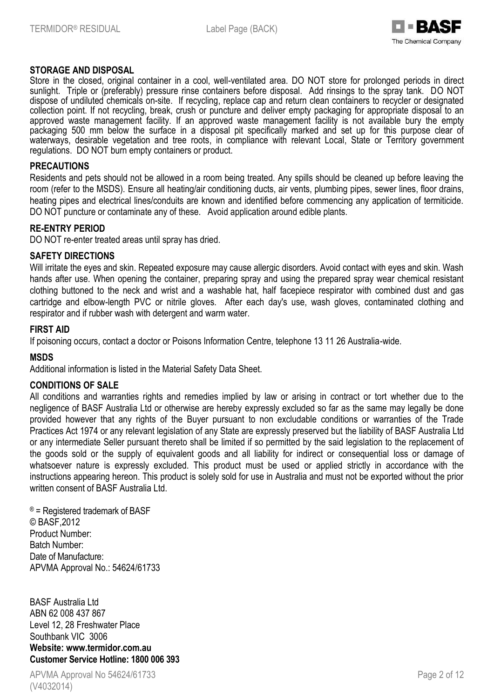

### **STORAGE AND DISPOSAL**

Store in the closed, original container in a cool, well-ventilated area. DO NOT store for prolonged periods in direct sunlight. Triple or (preferably) pressure rinse containers before disposal. Add rinsings to the spray tank. DO NOT dispose of undiluted chemicals on-site. If recycling, replace cap and return clean containers to recycler or designated collection point. If not recycling, break, crush or puncture and deliver empty packaging for appropriate disposal to an approved waste management facility. If an approved waste management facility is not available bury the empty packaging 500 mm below the surface in a disposal pit specifically marked and set up for this purpose clear of waterways, desirable vegetation and tree roots, in compliance with relevant Local, State or Territory government regulations. DO NOT burn empty containers or product.

### **PRECAUTIONS**

Residents and pets should not be allowed in a room being treated. Any spills should be cleaned up before leaving the room (refer to the MSDS). Ensure all heating/air conditioning ducts, air vents, plumbing pipes, sewer lines, floor drains, heating pipes and electrical lines/conduits are known and identified before commencing any application of termiticide. DO NOT puncture or contaminate any of these. Avoid application around edible plants.

### **RE-ENTRY PERIOD**

DO NOT re-enter treated areas until spray has dried.

### **SAFETY DIRECTIONS**

Will irritate the eyes and skin. Repeated exposure may cause allergic disorders. Avoid contact with eyes and skin. Wash hands after use. When opening the container, preparing spray and using the prepared spray wear chemical resistant clothing buttoned to the neck and wrist and a washable hat, half facepiece respirator with combined dust and gas cartridge and elbow-length PVC or nitrile gloves. After each day's use, wash gloves, contaminated clothing and respirator and if rubber wash with detergent and warm water.

### **FIRST AID**

If poisoning occurs, contact a doctor or Poisons Information Centre, telephone 13 11 26 Australia-wide.

#### **MSDS**

Additional information is listed in the Material Safety Data Sheet.

#### **CONDITIONS OF SALE**

All conditions and warranties rights and remedies implied by law or arising in contract or tort whether due to the negligence of BASF Australia Ltd or otherwise are hereby expressly excluded so far as the same may legally be done provided however that any rights of the Buyer pursuant to non excludable conditions or warranties of the Trade Practices Act 1974 or any relevant legislation of any State are expressly preserved but the liability of BASF Australia Ltd or any intermediate Seller pursuant thereto shall be limited if so permitted by the said legislation to the replacement of the goods sold or the supply of equivalent goods and all liability for indirect or consequential loss or damage of whatsoever nature is expressly excluded. This product must be used or applied strictly in accordance with the instructions appearing hereon. This product is solely sold for use in Australia and must not be exported without the prior written consent of BASF Australia Ltd.

® = Registered trademark of BASF © BASF,2012 Product Number: Batch Number: Date of Manufacture: APVMA Approval No.: 54624/61733

BASF Australia Ltd ABN 62 008 437 867 Level 12, 28 Freshwater Place Southbank VIC 3006 **Website: www.termidor.com.au Customer Service Hotline: 1800 006 393** 

APVMA Approval No 54624/61733 (V4032014)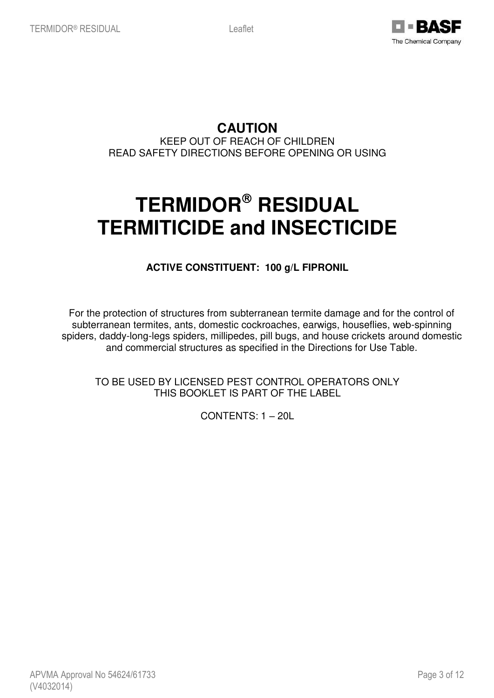

**CAUTION** 

KEEP OUT OF REACH OF CHILDREN READ SAFETY DIRECTIONS BEFORE OPENING OR USING

# **TERMIDOR RESIDUAL TERMITICIDE and INSECTICIDE**

**ACTIVE CONSTITUENT: 100 g/L FIPRONIL** 

For the protection of structures from subterranean termite damage and for the control of subterranean termites, ants, domestic cockroaches, earwigs, houseflies, web-spinning spiders, daddy-long-legs spiders, millipedes, pill bugs, and house crickets around domestic and commercial structures as specified in the Directions for Use Table.

TO BE USED BY LICENSED PEST CONTROL OPERATORS ONLY THIS BOOKLET IS PART OF THE LABEL

CONTENTS: 1 – 20L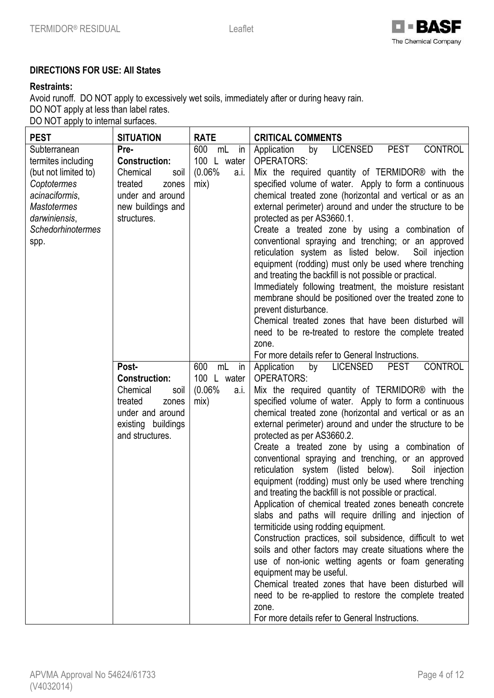

## **DIRECTIONS FOR USE: All States**

## **Restraints:**

Avoid runoff. DO NOT apply to excessively wet soils, immediately after or during heavy rain. DO NOT apply at less than label rates. DO NOT apply to internal surfaces.

| <b>PEST</b>                                                                                                                                                            | <b>SITUATION</b>                                                                                                                   | <b>RATE</b>                                                 | <b>CRITICAL COMMENTS</b>                                                                                                                                                                                                                                                                                                                                                                                                                                                                                                                                                                                                                                                                                                                                                                                                                                                                                                                                                                                                                                                                                                                                                                                          |
|------------------------------------------------------------------------------------------------------------------------------------------------------------------------|------------------------------------------------------------------------------------------------------------------------------------|-------------------------------------------------------------|-------------------------------------------------------------------------------------------------------------------------------------------------------------------------------------------------------------------------------------------------------------------------------------------------------------------------------------------------------------------------------------------------------------------------------------------------------------------------------------------------------------------------------------------------------------------------------------------------------------------------------------------------------------------------------------------------------------------------------------------------------------------------------------------------------------------------------------------------------------------------------------------------------------------------------------------------------------------------------------------------------------------------------------------------------------------------------------------------------------------------------------------------------------------------------------------------------------------|
| Subterranean<br>termites including<br>(but not limited to)<br>Coptotermes<br>acinaciformis,<br><b>Mastotermes</b><br>darwiniensis,<br><b>Schedorhinotermes</b><br>spp. | Pre-<br><b>Construction:</b><br>Chemical<br>soil<br>treated<br>zones<br>under and around<br>new buildings and<br>structures.       | 600<br>mL<br>in<br>100 L water<br>(0.06%<br>a.i.<br>mix)    | <b>CONTROL</b><br><b>PEST</b><br><b>LICENSED</b><br>Application<br>by<br><b>OPERATORS:</b><br>Mix the required quantity of TERMIDOR <sup>®</sup> with the<br>specified volume of water. Apply to form a continuous<br>chemical treated zone (horizontal and vertical or as an<br>external perimeter) around and under the structure to be<br>protected as per AS3660.1.<br>Create a treated zone by using a combination of<br>conventional spraying and trenching; or an approved<br>reticulation system as listed below.<br>Soil injection<br>equipment (rodding) must only be used where trenching<br>and treating the backfill is not possible or practical.<br>Immediately following treatment, the moisture resistant<br>membrane should be positioned over the treated zone to<br>prevent disturbance.<br>Chemical treated zones that have been disturbed will<br>need to be re-treated to restore the complete treated<br>zone.<br>For more details refer to General Instructions.                                                                                                                                                                                                                         |
|                                                                                                                                                                        | Post-<br><b>Construction:</b><br>Chemical<br>soil<br>treated<br>zones<br>under and around<br>existing buildings<br>and structures. | 600<br>mL<br>in<br>100<br>L water<br>(0.06%<br>a.i.<br>mix) | <b>CONTROL</b><br><b>LICENSED</b><br><b>PEST</b><br>Application<br>by<br><b>OPERATORS:</b><br>Mix the required quantity of TERMIDOR <sup>®</sup> with the<br>specified volume of water. Apply to form a continuous<br>chemical treated zone (horizontal and vertical or as an<br>external perimeter) around and under the structure to be<br>protected as per AS3660.2.<br>Create a treated zone by using a combination of<br>conventional spraying and trenching, or an approved<br>reticulation system (listed below).<br>Soil injection<br>equipment (rodding) must only be used where trenching<br>and treating the backfill is not possible or practical.<br>Application of chemical treated zones beneath concrete<br>slabs and paths will require drilling and injection of<br>termiticide using rodding equipment.<br>Construction practices, soil subsidence, difficult to wet<br>soils and other factors may create situations where the<br>use of non-ionic wetting agents or foam generating<br>equipment may be useful.<br>Chemical treated zones that have been disturbed will<br>need to be re-applied to restore the complete treated<br>zone.<br>For more details refer to General Instructions. |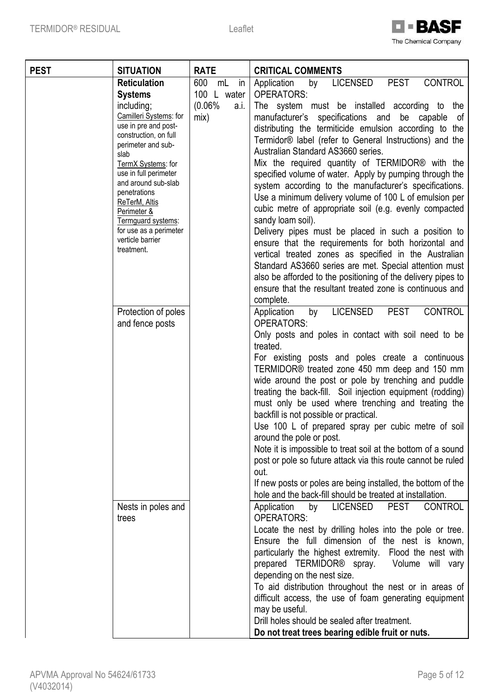

| <b>PEST</b> | <b>SITUATION</b>                              | <b>RATE</b>     | <b>CRITICAL COMMENTS</b>                                                                          |
|-------------|-----------------------------------------------|-----------------|---------------------------------------------------------------------------------------------------|
|             | <b>Reticulation</b>                           | 600<br>mL<br>in | <b>PEST</b><br><b>CONTROL</b><br>LICENSED<br>Application<br>by                                    |
|             | <b>Systems</b>                                | 100 L water     | <b>OPERATORS:</b>                                                                                 |
|             | including;                                    | (0.06%<br>a.i.  | The system must be installed according to the                                                     |
|             | Camilleri Systems: for                        | mix)            | manufacturer's specifications and<br>be capable<br>of                                             |
|             | use in pre and post-<br>construction, on full |                 | distributing the termiticide emulsion according to the                                            |
|             | perimeter and sub-                            |                 | Termidor <sup>®</sup> label (refer to General Instructions) and the                               |
|             | slab                                          |                 | Australian Standard AS3660 series.                                                                |
|             | TermX Systems: for                            |                 | Mix the required quantity of TERMIDOR <sup>®</sup> with the                                       |
|             | use in full perimeter                         |                 | specified volume of water. Apply by pumping through the                                           |
|             | and around sub-slab<br>penetrations           |                 | system according to the manufacturer's specifications.                                            |
|             | ReTerM, Altis                                 |                 | Use a minimum delivery volume of 100 L of emulsion per                                            |
|             | Perimeter &                                   |                 | cubic metre of appropriate soil (e.g. evenly compacted                                            |
|             | Termguard systems:                            |                 | sandy loam soil).                                                                                 |
|             | for use as a perimeter                        |                 | Delivery pipes must be placed in such a position to                                               |
|             | verticle barrier<br>treatment.                |                 | ensure that the requirements for both horizontal and                                              |
|             |                                               |                 | vertical treated zones as specified in the Australian                                             |
|             |                                               |                 | Standard AS3660 series are met. Special attention must                                            |
|             |                                               |                 | also be afforded to the positioning of the delivery pipes to                                      |
|             |                                               |                 | ensure that the resultant treated zone is continuous and                                          |
|             |                                               |                 | complete.                                                                                         |
|             | Protection of poles<br>and fence posts        |                 | <b>LICENSED</b><br><b>PEST</b><br><b>CONTROL</b><br>Application<br>by<br><b>OPERATORS:</b>        |
|             |                                               |                 | Only posts and poles in contact with soil need to be                                              |
|             |                                               |                 | treated.                                                                                          |
|             |                                               |                 | For existing posts and poles create a continuous<br>TERMIDOR® treated zone 450 mm deep and 150 mm |
|             |                                               |                 | wide around the post or pole by trenching and puddle                                              |
|             |                                               |                 | treating the back-fill. Soil injection equipment (rodding)                                        |
|             |                                               |                 | must only be used where trenching and treating the                                                |
|             |                                               |                 | backfill is not possible or practical.                                                            |
|             |                                               |                 | Use 100 L of prepared spray per cubic metre of soil                                               |
|             |                                               |                 | around the pole or post.                                                                          |
|             |                                               |                 | Note it is impossible to treat soil at the bottom of a sound                                      |
|             |                                               |                 | post or pole so future attack via this route cannot be ruled                                      |
|             |                                               |                 | out.                                                                                              |
|             |                                               |                 | If new posts or poles are being installed, the bottom of the                                      |
|             |                                               |                 | hole and the back-fill should be treated at installation.                                         |
|             | Nests in poles and<br>trees                   |                 | <b>LICENSED</b><br><b>PEST</b><br><b>CONTROL</b><br>Application<br>by<br><b>OPERATORS:</b>        |
|             |                                               |                 | Locate the nest by drilling holes into the pole or tree.                                          |
|             |                                               |                 | Ensure the full dimension of the nest is known,                                                   |
|             |                                               |                 | particularly the highest extremity. Flood the nest with                                           |
|             |                                               |                 | prepared TERMIDOR <sup>®</sup> spray. Volume will vary                                            |
|             |                                               |                 | depending on the nest size.                                                                       |
|             |                                               |                 | To aid distribution throughout the nest or in areas of                                            |
|             |                                               |                 | difficult access, the use of foam generating equipment                                            |
|             |                                               |                 | may be useful.                                                                                    |
|             |                                               |                 | Drill holes should be sealed after treatment.                                                     |
|             |                                               |                 | Do not treat trees bearing edible fruit or nuts.                                                  |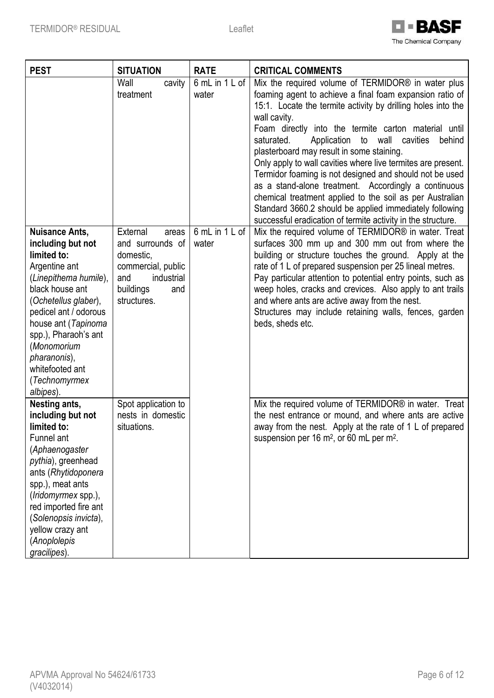

| <b>PEST</b>                                                                                                                                                                                                                                                                                            | <b>SITUATION</b>                                                                                                                 | <b>RATE</b>             | <b>CRITICAL COMMENTS</b>                                                                                                                                                                                                                                                                                                                                                                                                                                                                                                                                                                                                                                                                                                                                   |
|--------------------------------------------------------------------------------------------------------------------------------------------------------------------------------------------------------------------------------------------------------------------------------------------------------|----------------------------------------------------------------------------------------------------------------------------------|-------------------------|------------------------------------------------------------------------------------------------------------------------------------------------------------------------------------------------------------------------------------------------------------------------------------------------------------------------------------------------------------------------------------------------------------------------------------------------------------------------------------------------------------------------------------------------------------------------------------------------------------------------------------------------------------------------------------------------------------------------------------------------------------|
|                                                                                                                                                                                                                                                                                                        | Wall<br>cavity<br>treatment                                                                                                      | 6 mL in 1 L of<br>water | Mix the required volume of TERMIDOR <sup>®</sup> in water plus<br>foaming agent to achieve a final foam expansion ratio of<br>15:1. Locate the termite activity by drilling holes into the<br>wall cavity.<br>Foam directly into the termite carton material until<br>wall<br>saturated.<br>Application<br>to<br>cavities<br>behind<br>plasterboard may result in some staining.<br>Only apply to wall cavities where live termites are present.<br>Termidor foaming is not designed and should not be used<br>as a stand-alone treatment. Accordingly a continuous<br>chemical treatment applied to the soil as per Australian<br>Standard 3660.2 should be applied immediately following<br>successful eradication of termite activity in the structure. |
| <b>Nuisance Ants,</b><br>including but not<br>limited to:<br>Argentine ant<br>(Linepithema humile),<br>black house ant<br>(Ochetellus glaber),<br>pedicel ant / odorous<br>house ant (Tapinoma<br>spp.), Pharaoh's ant<br>(Monomorium<br>pharanonis),<br>whitefooted ant<br>(Technomyrmex<br>albipes). | External<br>areas<br>and surrounds of<br>domestic,<br>commercial, public<br>industrial<br>and<br>buildings<br>and<br>structures. | 6 mL in 1 L of<br>water | Mix the required volume of TERMIDOR® in water. Treat<br>surfaces 300 mm up and 300 mm out from where the<br>building or structure touches the ground. Apply at the<br>rate of 1 L of prepared suspension per 25 lineal metres.<br>Pay particular attention to potential entry points, such as<br>weep holes, cracks and crevices. Also apply to ant trails<br>and where ants are active away from the nest.<br>Structures may include retaining walls, fences, garden<br>beds, sheds etc.                                                                                                                                                                                                                                                                  |
| Nesting ants,<br>including but not<br>limited to:<br>Funnel ant<br>(Aphaenogaster<br>pythia), greenhead<br>ants (Rhytidoponera<br>spp.), meat ants<br>(Iridomyrmex spp.),<br>red imported fire ant<br>(Solenopsis invicta),<br>yellow crazy ant<br>(Anoplolepis<br>gracilipes).                        | Spot application to<br>nests in domestic<br>situations.                                                                          |                         | Mix the required volume of TERMIDOR® in water. Treat<br>the nest entrance or mound, and where ants are active<br>away from the nest. Apply at the rate of 1 L of prepared<br>suspension per 16 m <sup>2</sup> , or 60 mL per m <sup>2</sup> .                                                                                                                                                                                                                                                                                                                                                                                                                                                                                                              |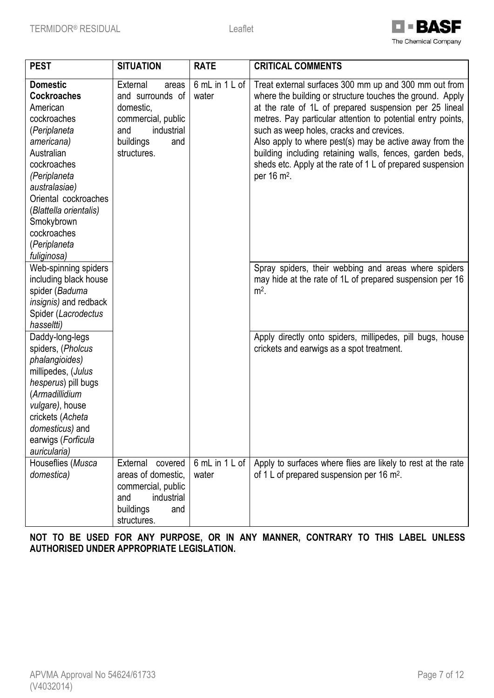

| <b>SITUATION</b><br><b>PEST</b> |                    | <b>RATE</b>    | <b>CRITICAL COMMENTS</b>                                     |
|---------------------------------|--------------------|----------------|--------------------------------------------------------------|
| <b>Domestic</b><br>External     | areas              | 6 mL in 1 L of | Treat external surfaces 300 mm up and 300 mm out from        |
| <b>Cockroaches</b>              | and surrounds of   | water          | where the building or structure touches the ground. Apply    |
| American<br>domestic,           |                    |                | at the rate of 1L of prepared suspension per 25 lineal       |
| cockroaches                     | commercial, public |                | metres. Pay particular attention to potential entry points,  |
| (Periplaneta<br>and             | industrial         |                | such as weep holes, cracks and crevices.                     |
| americana)<br>buildings         | and                |                | Also apply to where pest(s) may be active away from the      |
| Australian<br>structures.       |                    |                | building including retaining walls, fences, garden beds,     |
| cockroaches                     |                    |                | sheds etc. Apply at the rate of 1 L of prepared suspension   |
| (Periplaneta                    |                    |                | per 16 m <sup>2</sup> .                                      |
| australasiae)                   |                    |                |                                                              |
| Oriental cockroaches            |                    |                |                                                              |
| (Blattella orientalis)          |                    |                |                                                              |
| Smokybrown                      |                    |                |                                                              |
| cockroaches                     |                    |                |                                                              |
| (Periplaneta                    |                    |                |                                                              |
| fuliginosa)                     |                    |                |                                                              |
| Web-spinning spiders            |                    |                | Spray spiders, their webbing and areas where spiders         |
| including black house           |                    |                | may hide at the rate of 1L of prepared suspension per 16     |
| spider (Baduma                  |                    |                | $m2$ .                                                       |
| insignis) and redback           |                    |                |                                                              |
| Spider (Lacrodectus             |                    |                |                                                              |
| hasseltti)                      |                    |                |                                                              |
| Daddy-long-legs                 |                    |                | Apply directly onto spiders, millipedes, pill bugs, house    |
| spiders, (Pholcus               |                    |                | crickets and earwigs as a spot treatment.                    |
| phalangioides)                  |                    |                |                                                              |
| millipedes, (Julus              |                    |                |                                                              |
| hesperus) pill bugs             |                    |                |                                                              |
| (Armadillidium                  |                    |                |                                                              |
| vulgare), house                 |                    |                |                                                              |
| crickets (Acheta                |                    |                |                                                              |
| domesticus) and                 |                    |                |                                                              |
| earwigs (Forficula              |                    |                |                                                              |
| auricularia)                    |                    |                |                                                              |
| Houseflies (Musca<br>External   | covered            | 6 mL in 1 L of | Apply to surfaces where flies are likely to rest at the rate |
| domestica)                      | areas of domestic, | water          | of 1 L of prepared suspension per 16 m <sup>2</sup> .        |
|                                 | commercial, public |                |                                                              |
| and                             | industrial         |                |                                                              |
| buildings                       | and                |                |                                                              |
| structures.                     |                    |                |                                                              |

**NOT TO BE USED FOR ANY PURPOSE, OR IN ANY MANNER, CONTRARY TO THIS LABEL UNLESS AUTHORISED UNDER APPROPRIATE LEGISLATION.**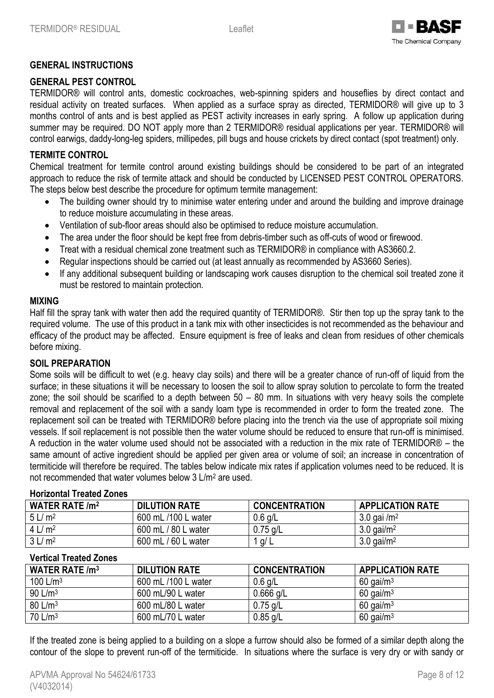

## **GENERAL INSTRUCTIONS**

## **GENERAL PEST CONTROL**

TERMIDOR® will control ants, domestic cockroaches, web-spinning spiders and houseflies by direct contact and residual activity on treated surfaces. When applied as a surface spray as directed, TERMIDOR® will give up to 3 months control of ants and is best applied as PEST activity increases in early spring. A follow up application during summer may be required. DO NOT apply more than 2 TERMIDOR® residual applications per year. TERMIDOR® will control earwigs, daddy-long-leg spiders, millipedes, pill bugs and house crickets by direct contact (spot treatment) only.

## **TERMITE CONTROL**

Chemical treatment for termite control around existing buildings should be considered to be part of an integrated approach to reduce the risk of termite attack and should be conducted by LICENSED PEST CONTROL OPERATORS. The steps below best describe the procedure for optimum termite management:

- The building owner should try to minimise water entering under and around the building and improve drainage to reduce moisture accumulating in these areas.
- Ventilation of sub-floor areas should also be optimised to reduce moisture accumulation.
- The area under the floor should be kept free from debris-timber such as off-cuts of wood or firewood.
- Treat with a residual chemical zone treatment such as TERMIDOR® in compliance with AS3660.2.
- Regular inspections should be carried out (at least annually as recommended by AS3660 Series).
- If any additional subsequent building or landscaping work causes disruption to the chemical soil treated zone it must be restored to maintain protection.

### **MIXING**

Half fill the spray tank with water then add the required quantity of TERMIDOR®. Stir then top up the spray tank to the required volume. The use of this product in a tank mix with other insecticides is not recommended as the behaviour and efficacy of the product may be affected. Ensure equipment is free of leaks and clean from residues of other chemicals before mixing.

## **SOIL PREPARATION**

Some soils will be difficult to wet (e.g. heavy clay soils) and there will be a greater chance of run-off of liquid from the surface; in these situations it will be necessary to loosen the soil to allow spray solution to percolate to form the treated zone; the soil should be scarified to a depth between 50 – 80 mm. In situations with very heavy soils the complete removal and replacement of the soil with a sandy loam type is recommended in order to form the treated zone. The replacement soil can be treated with TERMIDOR® before placing into the trench via the use of appropriate soil mixing vessels. If soil replacement is not possible then the water volume should be reduced to ensure that run-off is minimised. A reduction in the water volume used should not be associated with a reduction in the mix rate of TERMIDOR® – the same amount of active ingredient should be applied per given area or volume of soil; an increase in concentration of termiticide will therefore be required. The tables below indicate mix rates if application volumes need to be reduced. It is not recommended that water volumes below 3 L/m<sup>2</sup> are used.

## **WATER RATE /m<sup>2</sup> DILUTION RATE CONCENTRATION APPLICATION RATE**   $5 L/m^2$  600 mL /100 L water 0.6 g/L 3.0 gai /m<sup>2</sup> 4 L/ m<sup>2</sup> 600 mL / 80 L water 0.75 g/L 3.0 gai/m<sup>2</sup>  $3 L/m^2$  600 mL / 60 L water 1 g/ L 3.0 gai/m<sup>2</sup>

## **Horizontal Treated Zones**

| WATER RATE $/m3$     | <b>DILUTION RATE</b> | <b>CONCENTRATION</b> | <b>APPLICATION RATE</b> |
|----------------------|----------------------|----------------------|-------------------------|
| 100 L/m <sup>3</sup> | 600 mL /100 L water  | $0.6$ g/L            | $60$ gai/m <sup>3</sup> |
| 90 L/m <sup>3</sup>  | 600 mL/90 L water    | $0.666$ g/L          | $60$ gai/m <sup>3</sup> |
| 80 L/m <sup>3</sup>  | 600 mL/80 L water    | $0.75$ g/L           | $60$ gai/m <sup>3</sup> |
| 70 L/m <sup>3</sup>  | 600 mL/70 L water    | $0.85$ g/L           | $60$ gai/m <sup>3</sup> |

If the treated zone is being applied to a building on a slope a furrow should also be formed of a similar depth along the contour of the slope to prevent run-off of the termiticide. In situations where the surface is very dry or with sandy or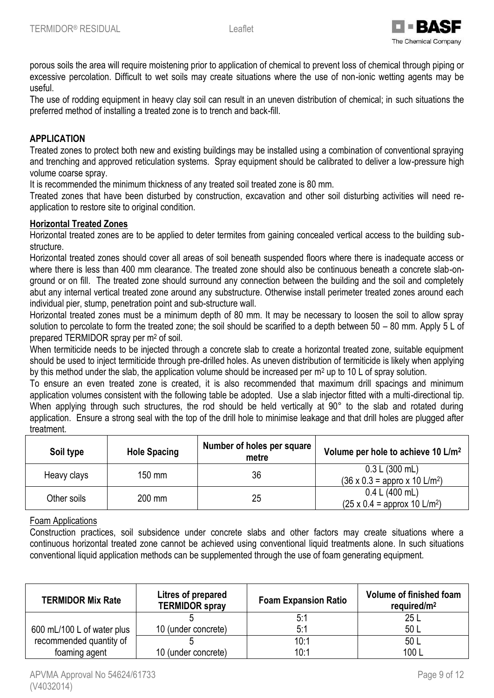

porous soils the area will require moistening prior to application of chemical to prevent loss of chemical through piping or excessive percolation. Difficult to wet soils may create situations where the use of non-ionic wetting agents may be useful.

The use of rodding equipment in heavy clay soil can result in an uneven distribution of chemical; in such situations the preferred method of installing a treated zone is to trench and back-fill.

## **APPLICATION**

Treated zones to protect both new and existing buildings may be installed using a combination of conventional spraying and trenching and approved reticulation systems. Spray equipment should be calibrated to deliver a low-pressure high volume coarse spray.

It is recommended the minimum thickness of any treated soil treated zone is 80 mm.

Treated zones that have been disturbed by construction, excavation and other soil disturbing activities will need reapplication to restore site to original condition.

## **Horizontal Treated Zones**

Horizontal treated zones are to be applied to deter termites from gaining concealed vertical access to the building substructure.

Horizontal treated zones should cover all areas of soil beneath suspended floors where there is inadequate access or where there is less than 400 mm clearance. The treated zone should also be continuous beneath a concrete slab-onground or on fill. The treated zone should surround any connection between the building and the soil and completely abut any internal vertical treated zone around any substructure. Otherwise install perimeter treated zones around each individual pier, stump, penetration point and sub-structure wall.

Horizontal treated zones must be a minimum depth of 80 mm. It may be necessary to loosen the soil to allow spray solution to percolate to form the treated zone; the soil should be scarified to a depth between 50 – 80 mm. Apply 5 L of prepared TERMIDOR spray per m<sup>2</sup> of soil.

When termiticide needs to be injected through a concrete slab to create a horizontal treated zone, suitable equipment should be used to inject termiticide through pre-drilled holes. As uneven distribution of termiticide is likely when applying by this method under the slab, the application volume should be increased per m<sup>2</sup> up to 10 L of spray solution.

To ensure an even treated zone is created, it is also recommended that maximum drill spacings and minimum application volumes consistent with the following table be adopted. Use a slab injector fitted with a multi-directional tip. When applying through such structures, the rod should be held vertically at 90° to the slab and rotated during application. Ensure a strong seal with the top of the drill hole to minimise leakage and that drill holes are plugged after treatment.

| Soil type   | <b>Hole Spacing</b> | Number of holes per square  <br>metre | Volume per hole to achieve 10 L/m <sup>2</sup>                     |
|-------------|---------------------|---------------------------------------|--------------------------------------------------------------------|
| Heavy clays | 150 mm              | 36                                    | 0.3 L (300 mL)<br>$(36 \times 0.3 =$ appro x 10 L/m <sup>2</sup> ) |
| Other soils | 200 mm              | 25                                    | 0.4 L (400 mL)<br>$(25 \times 0.4 =$ approx 10 L/m <sup>2</sup> )  |

## Foam Applications

Construction practices, soil subsidence under concrete slabs and other factors may create situations where a continuous horizontal treated zone cannot be achieved using conventional liquid treatments alone. In such situations conventional liquid application methods can be supplemented through the use of foam generating equipment.

| <b>TERMIDOR Mix Rate</b>   | Litres of prepared<br><b>TERMIDOR spray</b> | <b>Foam Expansion Ratio</b> | Volume of finished foam<br>required/ $m2$ |
|----------------------------|---------------------------------------------|-----------------------------|-------------------------------------------|
|                            |                                             | 5:1                         | 25L                                       |
| 600 mL/100 L of water plus | 10 (under concrete)                         | 5:1                         | 50 L                                      |
| recommended quantity of    |                                             | 10:1                        | 50 L                                      |
| foaming agent              | 10 (under concrete)                         | 10:1                        | 100L                                      |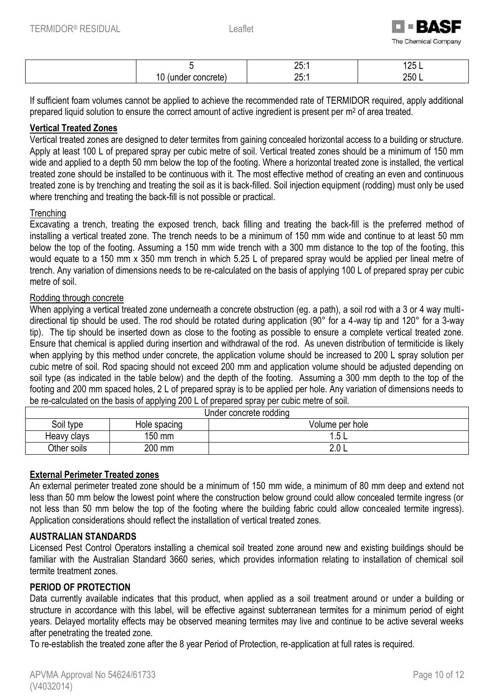

|                       | つに<br>20.1            | 1つに<br>∸ ∽<br>______ |
|-----------------------|-----------------------|----------------------|
| .<br>.oncreie).<br>۰. | クに<br>$\sim$ . $\sim$ | 250L                 |

If sufficient foam volumes cannot be applied to achieve the recommended rate of TERMIDOR required, apply additional prepared liquid solution to ensure the correct amount of active ingredient is present per m<sup>2</sup> of area treated.

## **Vertical Treated Zones**

Vertical treated zones are designed to deter termites from gaining concealed horizontal access to a building or structure. Apply at least 100 L of prepared spray per cubic metre of soil. Vertical treated zones should be a minimum of 150 mm wide and applied to a depth 50 mm below the top of the footing. Where a horizontal treated zone is installed, the vertical treated zone should be installed to be continuous with it. The most effective method of creating an even and continuous treated zone is by trenching and treating the soil as it is back-filled. Soil injection equipment (rodding) must only be used where trenching and treating the back-fill is not possible or practical.

## **Trenching**

Excavating a trench, treating the exposed trench, back filling and treating the back-fill is the preferred method of installing a vertical treated zone. The trench needs to be a minimum of 150 mm wide and continue to at least 50 mm below the top of the footing. Assuming a 150 mm wide trench with a 300 mm distance to the top of the footing, this would equate to a 150 mm x 350 mm trench in which 5.25 L of prepared spray would be applied per lineal metre of trench. Any variation of dimensions needs to be re-calculated on the basis of applying 100 L of prepared spray per cubic metre of soil.

## Rodding through concrete

When applying a vertical treated zone underneath a concrete obstruction (eg. a path), a soil rod with a 3 or 4 way multidirectional tip should be used. The rod should be rotated during application (90° for a 4-way tip and 120° for a 3-way tip). The tip should be inserted down as close to the footing as possible to ensure a complete vertical treated zone. Ensure that chemical is applied during insertion and withdrawal of the rod. As uneven distribution of termiticide is likely when applying by this method under concrete, the application volume should be increased to 200 L spray solution per cubic metre of soil. Rod spacing should not exceed 200 mm and application volume should be adjusted depending on soil type (as indicated in the table below) and the depth of the footing. Assuming a 300 mm depth to the top of the footing and 200 mm spaced holes, 2 L of prepared spray is to be applied per hole. Any variation of dimensions needs to be re-calculated on the basis of applying 200 L of prepared spray per cubic metre of soil.

| Under concrete rodding |              |                 |  |  |
|------------------------|--------------|-----------------|--|--|
| Soil type              | Hole spacing | Volume per hole |  |  |
| Heavy clays            | 150 mm       | 1 F             |  |  |
| Other soils            | 200 mm       | 2.0 L           |  |  |

## **External Perimeter Treated zones**

An external perimeter treated zone should be a minimum of 150 mm wide, a minimum of 80 mm deep and extend not less than 50 mm below the lowest point where the construction below ground could allow concealed termite ingress (or not less than 50 mm below the top of the footing where the building fabric could allow concealed termite ingress). Application considerations should reflect the installation of vertical treated zones.

## **AUSTRALIAN STANDARDS**

Licensed Pest Control Operators installing a chemical soil treated zone around new and existing buildings should be familiar with the Australian Standard 3660 series, which provides information relating to installation of chemical soil termite treatment zones.

## **PERIOD OF PROTECTION**

Data currently available indicates that this product, when applied as a soil treatment around or under a building or structure in accordance with this label, will be effective against subterranean termites for a minimum period of eight years. Delayed mortality effects may be observed meaning termites may live and continue to be active several weeks after penetrating the treated zone.

To re-establish the treated zone after the 8 year Period of Protection, re-application at full rates is required.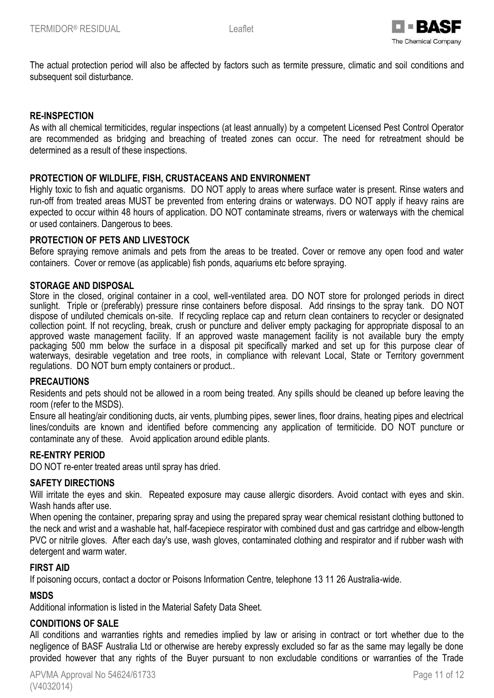

The actual protection period will also be affected by factors such as termite pressure, climatic and soil conditions and subsequent soil disturbance.

### **RE-INSPECTION**

As with all chemical termiticides, regular inspections (at least annually) by a competent Licensed Pest Control Operator are recommended as bridging and breaching of treated zones can occur. The need for retreatment should be determined as a result of these inspections.

### **PROTECTION OF WILDLIFE, FISH, CRUSTACEANS AND ENVIRONMENT**

Highly toxic to fish and aquatic organisms. DO NOT apply to areas where surface water is present. Rinse waters and run-off from treated areas MUST be prevented from entering drains or waterways. DO NOT apply if heavy rains are expected to occur within 48 hours of application. DO NOT contaminate streams, rivers or waterways with the chemical or used containers. Dangerous to bees.

#### **PROTECTION OF PETS AND LIVESTOCK**

Before spraying remove animals and pets from the areas to be treated. Cover or remove any open food and water containers. Cover or remove (as applicable) fish ponds, aquariums etc before spraying.

#### **STORAGE AND DISPOSAL**

Store in the closed, original container in a cool, well-ventilated area. DO NOT store for prolonged periods in direct sunlight. Triple or (preferably) pressure rinse containers before disposal. Add rinsings to the spray tank. DO NOT dispose of undiluted chemicals on-site. If recycling replace cap and return clean containers to recycler or designated collection point. If not recycling, break, crush or puncture and deliver empty packaging for appropriate disposal to an approved waste management facility. If an approved waste management facility is not available bury the empty packaging 500 mm below the surface in a disposal pit specifically marked and set up for this purpose clear of waterways, desirable vegetation and tree roots, in compliance with relevant Local, State or Territory government regulations. DO NOT burn empty containers or product..

#### **PRECAUTIONS**

Residents and pets should not be allowed in a room being treated. Any spills should be cleaned up before leaving the room (refer to the MSDS).

Ensure all heating/air conditioning ducts, air vents, plumbing pipes, sewer lines, floor drains, heating pipes and electrical lines/conduits are known and identified before commencing any application of termiticide. DO NOT puncture or contaminate any of these. Avoid application around edible plants.

#### **RE-ENTRY PERIOD**

DO NOT re-enter treated areas until spray has dried.

#### **SAFETY DIRECTIONS**

Will irritate the eyes and skin. Repeated exposure may cause allergic disorders. Avoid contact with eyes and skin. Wash hands after use.

When opening the container, preparing spray and using the prepared spray wear chemical resistant clothing buttoned to the neck and wrist and a washable hat, half-facepiece respirator with combined dust and gas cartridge and elbow-length PVC or nitrile gloves. After each day's use, wash gloves, contaminated clothing and respirator and if rubber wash with detergent and warm water.

#### **FIRST AID**

If poisoning occurs, contact a doctor or Poisons Information Centre, telephone 13 11 26 Australia-wide.

#### **MSDS**

Additional information is listed in the Material Safety Data Sheet.

#### **CONDITIONS OF SALE**

All conditions and warranties rights and remedies implied by law or arising in contract or tort whether due to the negligence of BASF Australia Ltd or otherwise are hereby expressly excluded so far as the same may legally be done provided however that any rights of the Buyer pursuant to non excludable conditions or warranties of the Trade